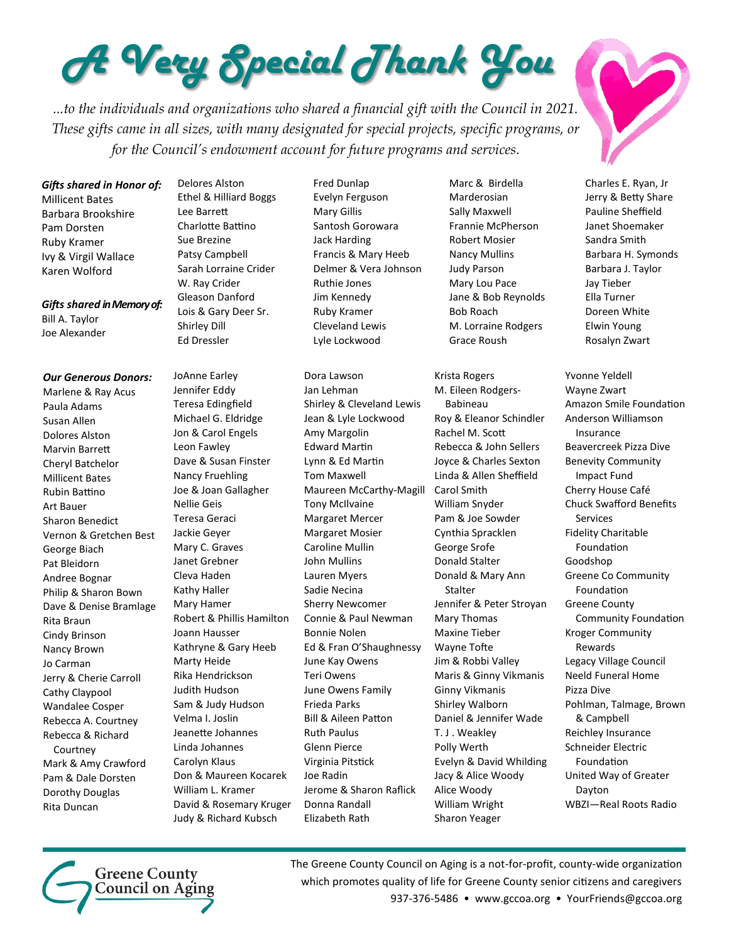## *A Very Special Thank You*

*...to the individuals and organizations who shared a financial gift with the Council in 2021. These gifts came in all sizes, with many designated for special projects, specific programs, or for the Council's endowment account for future programs and services.* 

*Gifts shared in Honor of:*

Millicent Bates Barbara Brookshire Pam Dorsten Ruby Kramer Ivy & Virgil Wallace Karen Wolford

*Gifts shared in Memory of:*

Bill A. Taylor Joe Alexander

## *Our Generous Donors:*

Marlene & Ray Acus Paula Adams Susan Allen Dolores Alston Marvin Barrett Cheryl Batchelor Millicent Bates Rubin Battino Art Bauer Sharon Benedict Vernon & Gretchen Best George Biach Pat Bleidorn Andree Bognar Philip & Sharon Bown Dave & Denise Bramlage Rita Braun Cindy Brinson Nancy Brown Jo Carman Jerry & Cherie Carroll Cathy Claypool Wandalee Cosper Rebecca A. Courtney Rebecca & Richard Courtney Mark & Amy Crawford Pam & Dale Dorsten Dorothy Douglas Rita Duncan

Delores Alston Ethel & Hilliard Boggs Lee Barrett Charlotte Battino Sue Brezine Patsy Campbell Sarah Lorraine Crider W. Ray Crider Gleason Danford Lois & Gary Deer Sr. Shirley Dill Ed Dressler

JoAnne Earley Jennifer Eddy Teresa Edingfield Michael G. Eldridge Jon & Carol Engels Leon Fawley Dave & Susan Finster Nancy Fruehling Joe & Joan Gallagher Nellie Geis Teresa Geraci Jackie Geyer Mary C. Graves Janet Grebner Cleva Haden Kathy Haller Mary Hamer Robert & Phillis Hamilton Joann Hausser Kathryne & Gary Heeb Marty Heide Rika Hendrickson Judith Hudson Sam & Judy Hudson Velma I. Joslin Jeanette Johannes Linda Johannes Carolyn Klaus Don & Maureen Kocarek William L. Kramer David & Rosemary Kruger Judy & Richard Kubsch

Fred Dunlap Evelyn Ferguson Mary Gillis Santosh Gorowara Jack Harding Francis & Mary Heeb Delmer & Vera Johnson Ruthie Jones Jim Kennedy Ruby Kramer Cleveland Lewis Lyle Lockwood

Dora Lawson Jan Lehman Shirley & Cleveland Lewis Jean & Lyle Lockwood Amy Margolin Edward Martin Lynn & Ed Martin Tom Maxwell Maureen McCarthy-Magill Tony McIlvaine Margaret Mercer Margaret Mosier Caroline Mullin John Mullins Lauren Myers Sadie Necina Sherry Newcomer Connie & Paul Newman Bonnie Nolen Ed & Fran O'Shaughnessy June Kay Owens Teri Owens June Owens Family Frieda Parks Bill & Aileen Patton Ruth Paulus Glenn Pierce Virginia Pitstick Joe Radin Jerome & Sharon Raflick Donna Randall Elizabeth Rath

Marc & Birdella Marderosian Sally Maxwell Frannie McPherson Robert Mosier Nancy Mullins Judy Parson Mary Lou Pace Jane & Bob Reynolds Bob Roach M. Lorraine Rodgers Grace Roush

Krista Rogers M. Eileen Rodgers-Babineau Roy & Eleanor Schindler Rachel M. Scott Rebecca & John Sellers Joyce & Charles Sexton Linda & Allen Sheffield Carol Smith William Snyder Pam & Joe Sowder Cynthia Spracklen George Srofe Donald Stalter Donald & Mary Ann Stalter Jennifer & Peter Stroyan Mary Thomas Maxine Tieber Wayne Tofte Jim & Robbi Valley Maris & Ginny Vikmanis Ginny Vikmanis Shirley Walborn Daniel & Jennifer Wade T. J . Weakley Polly Werth Evelyn & David Whilding Jacy & Alice Woody Alice Woody William Wright Sharon Yeager

Charles E. Ryan, Jr Jerry & Betty Share Pauline Sheffield Janet Shoemaker Sandra Smith Barbara H. Symonds Barbara J. Taylor Jay Tieber Ella Turner Doreen White Elwin Young Rosalyn Zwart

Yvonne Yeldell Wayne Zwart Amazon Smile Foundation Anderson Williamson Insurance Beavercreek Pizza Dive Benevity Community Impact Fund Cherry House Café Chuck Swafford Benefits Services Fidelity Charitable Foundation Goodshop Greene Co Community Foundation Greene County Community Foundation Kroger Community Rewards Legacy Village Council Neeld Funeral Home Pizza Dive Pohlman, Talmage, Brown & Campbell Reichley Insurance Schneider Electric Foundation United Way of Greater Dayton WBZI—Real Roots Radio



The Greene County Council on Aging is a not-for-profit, county-wide organization which promotes quality of life for Greene County senior citizens and caregivers 937-376-5486 • www.gccoa.org • YourFriends@gccoa.org